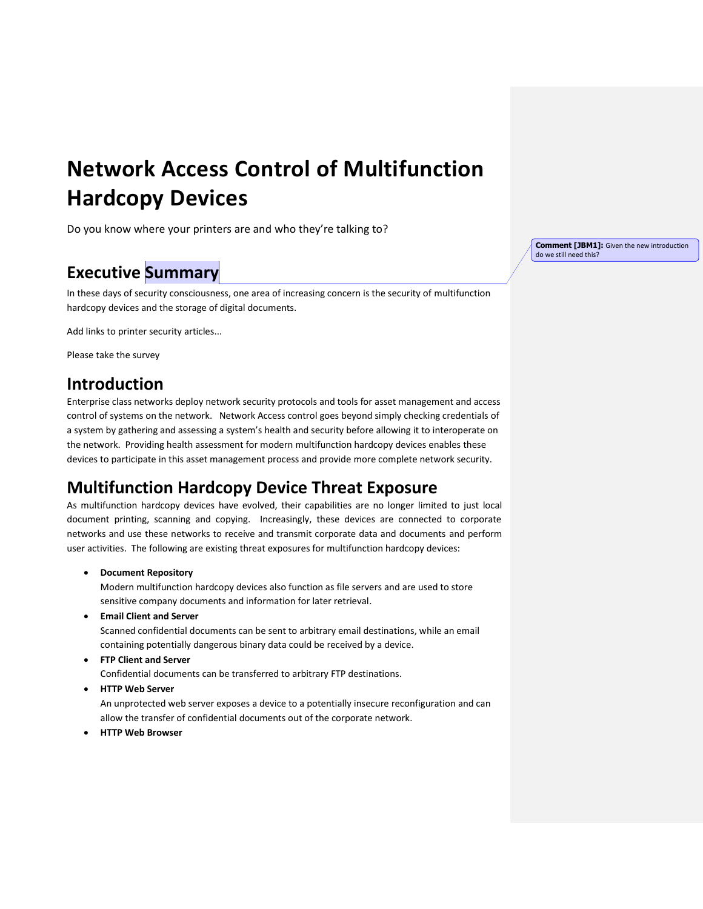# **Network Access Control of Multifunction Hardcopy Devices**

Do you know where your printers are and who they're talking to?

# **Executive Summary**

In these days of security consciousness, one area of increasing concern is the security of multifunction hardcopy devices and the storage of digital documents.

Add links to printer security articles...

Please take the survey

### **Introduction**

Enterprise class networks deploy network security protocols and tools for asset management and access control of systems on the network. Network Access control goes beyond simply checking credentials of a system by gathering and assessing a system's health and security before allowing it to interoperate on the network. Providing health assessment for modern multifunction hardcopy devices enables these devices to participate in this asset management process and provide more complete network security.

# **Multifunction Hardcopy Device Threat Exposure**

As multifunction hardcopy devices have evolved, their capabilities are no longer limited to just local document printing, scanning and copying. Increasingly, these devices are connected to corporate networks and use these networks to receive and transmit corporate data and documents and perform user activities. The following are existing threat exposures for multifunction hardcopy devices:

**Document Repository**

Modern multifunction hardcopy devices also function as file servers and are used to store sensitive company documents and information for later retrieval.

**Email Client and Server**

Scanned confidential documents can be sent to arbitrary email destinations, while an email containing potentially dangerous binary data could be received by a device.

**FTP Client and Server**

Confidential documents can be transferred to arbitrary FTP destinations.

**HTTP Web Server**

An unprotected web server exposes a device to a potentially insecure reconfiguration and can allow the transfer of confidential documents out of the corporate network.

**HTTP Web Browser**

**Comment [JBM1]:** Given the new introduction do we still need this?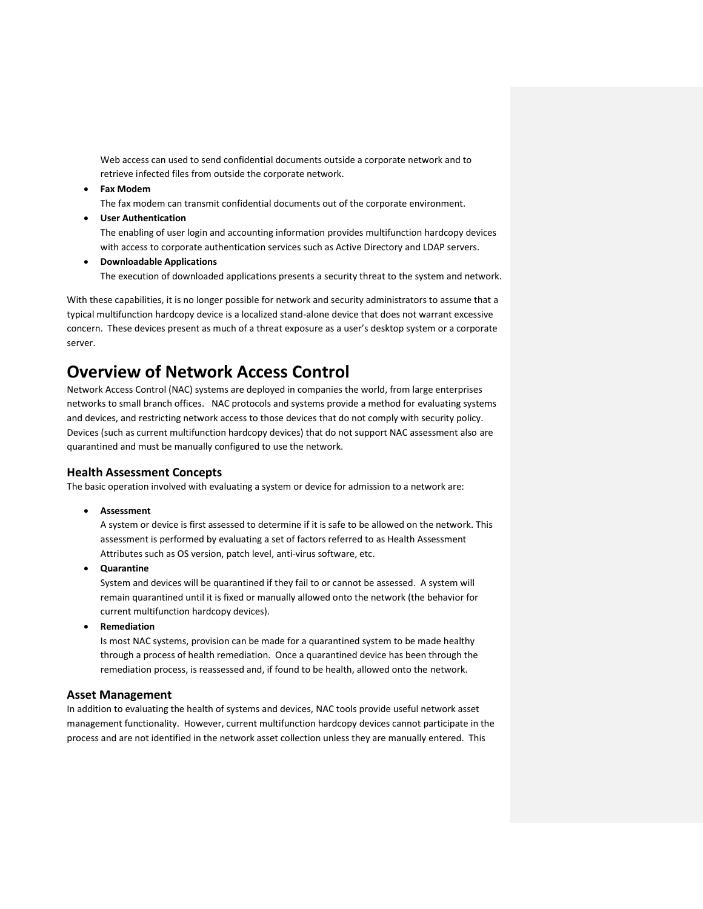Web access can used to send confidential documents outside a corporate network and to retrieve infected files from outside the corporate network.

**Fax Modem**

The fax modem can transmit confidential documents out of the corporate environment.

**User Authentication**

The enabling of user login and accounting information provides multifunction hardcopy devices with access to corporate authentication services such as Active Directory and LDAP servers.

 **Downloadable Applications** The execution of downloaded applications presents a security threat to the system and network.

With these capabilities, it is no longer possible for network and security administrators to assume that a typical multifunction hardcopy device is a localized stand-alone device that does not warrant excessive concern. These devices present as much of a threat exposure as a user's desktop system or a corporate server.

### **Overview of Network Access Control**

Network Access Control (NAC) systems are deployed in companies the world, from large enterprises networks to small branch offices. NAC protocols and systems provide a method for evaluating systems and devices, and restricting network access to those devices that do not comply with security policy. Devices (such as current multifunction hardcopy devices) that do not support NAC assessment also are quarantined and must be manually configured to use the network.

#### **Health Assessment Concepts**

The basic operation involved with evaluating a system or device for admission to a network are:

**Assessment**

A system or device is first assessed to determine if it is safe to be allowed on the network. This assessment is performed by evaluating a set of factors referred to as Health Assessment Attributes such as OS version, patch level, anti-virus software, etc.

**Quarantine**

System and devices will be quarantined if they fail to or cannot be assessed. A system will remain quarantined until it is fixed or manually allowed onto the network (the behavior for current multifunction hardcopy devices).

**Remediation**

Is most NAC systems, provision can be made for a quarantined system to be made healthy through a process of health remediation. Once a quarantined device has been through the remediation process, is reassessed and, if found to be health, allowed onto the network.

#### **Asset Management**

In addition to evaluating the health of systems and devices, NAC tools provide useful network asset management functionality. However, current multifunction hardcopy devices cannot participate in the process and are not identified in the network asset collection unless they are manually entered. This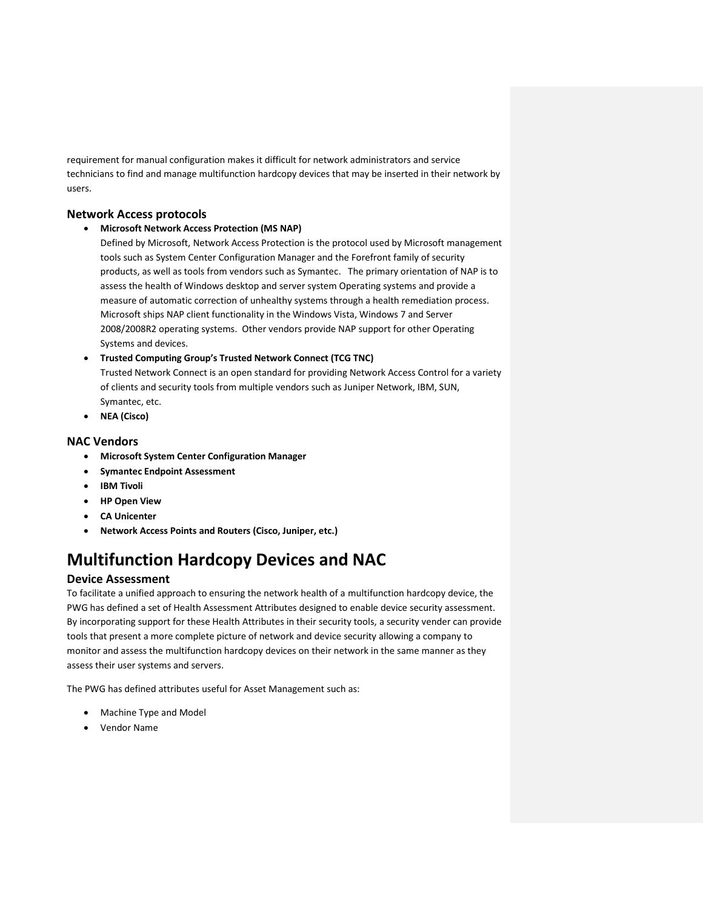requirement for manual configuration makes it difficult for network administrators and service technicians to find and manage multifunction hardcopy devices that may be inserted in their network by users.

#### **Network Access protocols**

**Microsoft Network Access Protection (MS NAP)**

Defined by Microsoft, Network Access Protection is the protocol used by Microsoft management tools such as System Center Configuration Manager and the Forefront family of security products, as well as tools from vendors such as Symantec. The primary orientation of NAP is to assess the health of Windows desktop and server system Operating systems and provide a measure of automatic correction of unhealthy systems through a health remediation process. Microsoft ships NAP client functionality in the Windows Vista, Windows 7 and Server 2008/2008R2 operating systems. Other vendors provide NAP support for other Operating Systems and devices.

 **Trusted Computing Group's Trusted Network Connect (TCG TNC)** Trusted Network Connect is an open standard for providing Network Access Control for a variety of clients and security tools from multiple vendors such as Juniper Network, IBM, SUN, Symantec, etc.

**NEA (Cisco)**

#### **NAC Vendors**

- **Microsoft System Center Configuration Manager**
- **•** Symantec Endpoint Assessment
- **IBM Tivoli**
- **HP Open View**
- **CA Unicenter**
- **Network Access Points and Routers (Cisco, Juniper, etc.)**

# **Multifunction Hardcopy Devices and NAC**

#### **Device Assessment**

To facilitate a unified approach to ensuring the network health of a multifunction hardcopy device, the PWG has defined a set of Health Assessment Attributes designed to enable device security assessment. By incorporating support for these Health Attributes in their security tools, a security vender can provide tools that present a more complete picture of network and device security allowing a company to monitor and assess the multifunction hardcopy devices on their network in the same manner as they assess their user systems and servers.

The PWG has defined attributes useful for Asset Management such as:

- Machine Type and Model
- Vendor Name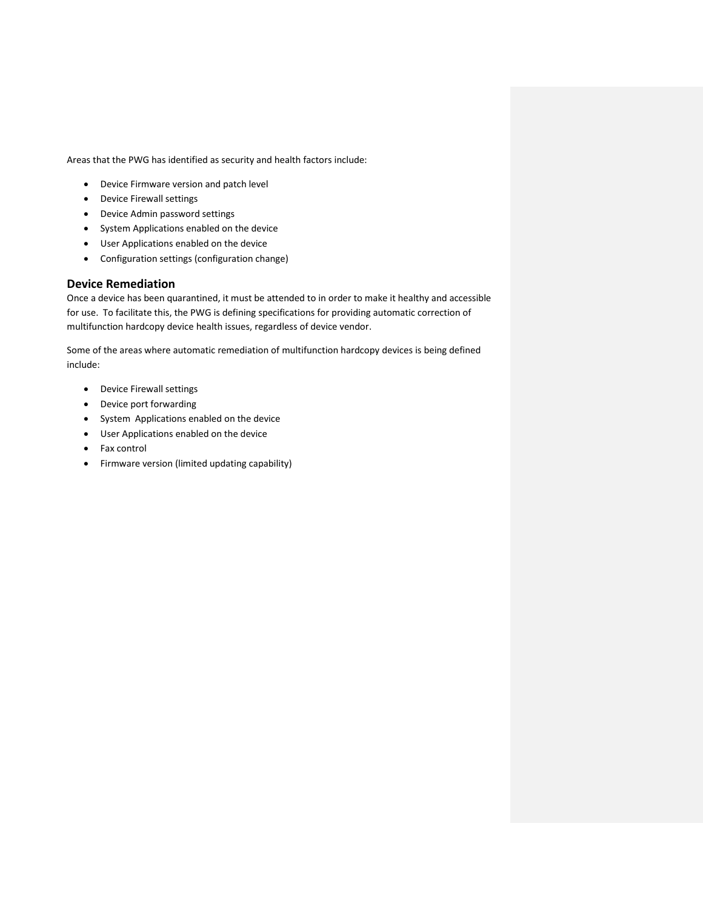Areas that the PWG has identified as security and health factors include:

- Device Firmware version and patch level
- Device Firewall settings
- Device Admin password settings
- System Applications enabled on the device
- User Applications enabled on the device
- Configuration settings (configuration change)

#### **Device Remediation**

Once a device has been quarantined, it must be attended to in order to make it healthy and accessible for use. To facilitate this, the PWG is defining specifications for providing automatic correction of multifunction hardcopy device health issues, regardless of device vendor.

Some of the areas where automatic remediation of multifunction hardcopy devices is being defined include:

- Device Firewall settings
- Device port forwarding
- System Applications enabled on the device
- User Applications enabled on the device
- Fax control
- Firmware version (limited updating capability)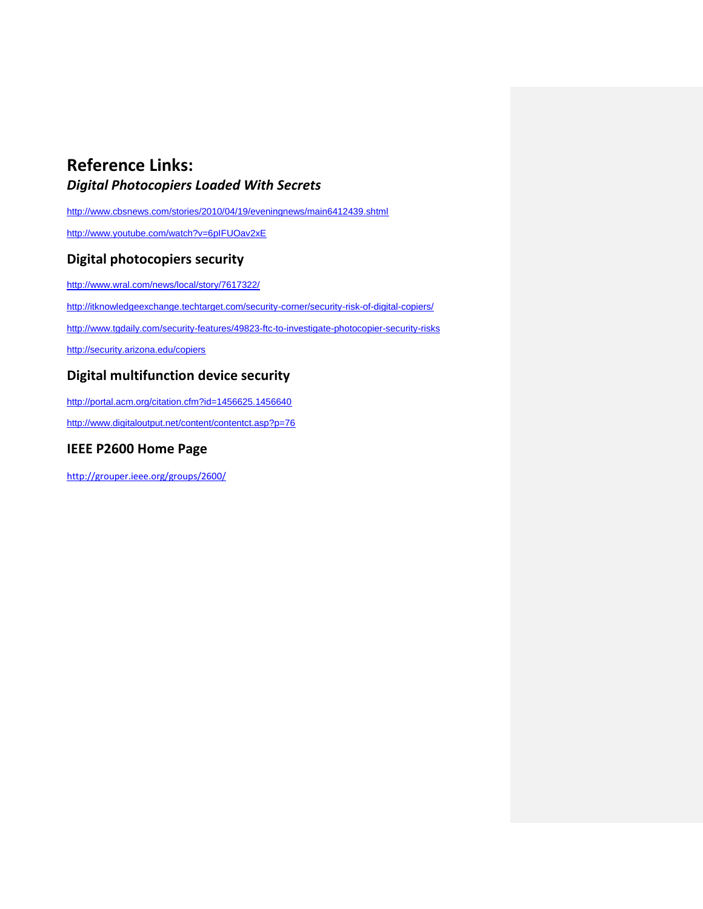# **Reference Links:**

### *Digital Photocopiers Loaded With Secrets*

<http://www.cbsnews.com/stories/2010/04/19/eveningnews/main6412439.shtml>

<http://www.youtube.com/watch?v=6pIFUOav2xE>

#### **Digital photocopiers security**

<http://www.wral.com/news/local/story/7617322/>

<http://itknowledgeexchange.techtarget.com/security-corner/security-risk-of-digital-copiers/>

<http://www.tgdaily.com/security-features/49823-ftc-to-investigate-photocopier-security-risks>

<http://security.arizona.edu/copiers>

### **Digital multifunction device security**

<http://portal.acm.org/citation.cfm?id=1456625.1456640>

<http://www.digitaloutput.net/content/contentct.asp?p=76>

### **IEEE P2600 Home Page**

<http://grouper.ieee.org/groups/2600/>